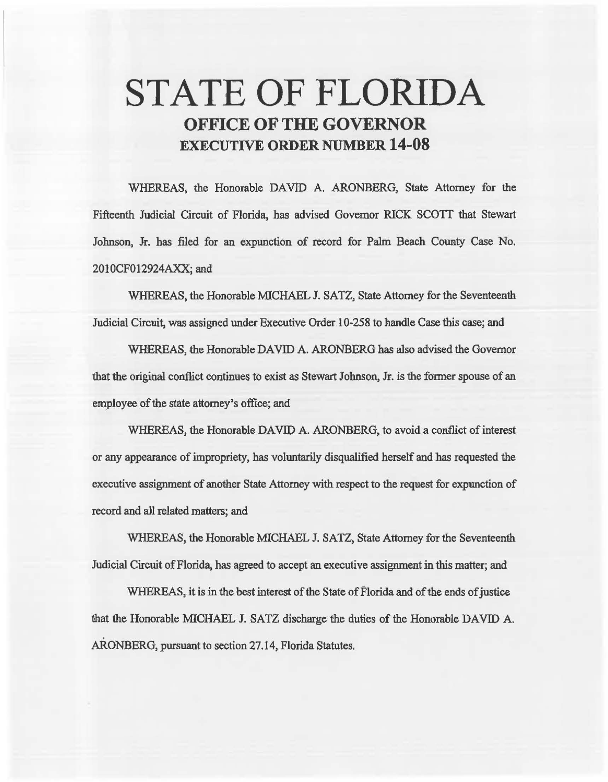# STATE OF FLORIDA OFFICE OF THE GOVERNOR EXECUTIVE ORDER NUMBER 14-08

WHEREAS, the Honorable DAVID A. ARONBERG, State Attorney for the Fifteenth Judicial Circuit of Florida, has advised Governor RICK SCOTT that Stewart Johnson, Jr. has filed for an expunction of record for Palm Beach County Case No. 2010CF012924AXX; and

WHEREAS, the Honorable MICHAEL J. SATZ, State Attorney for the Seventeenth Judicial Circuit, was assigned under Executive Order 10-258 to handle Case this case; and

WHEREAS, the Honorable DAVID A. ARONBERG has also advised the Governor that the original conflict continues to exist as Stewart Johnson, Jr. is the fonner spouse of an employee of the state attorney's office; and

WHEREAS, the Honorable DAVID A. ARONBERG, to avoid a conflict of interest or any appearance of impropriety, has voluntarily disqualified herself and has requested the executive assignment of another State Attorney with respect to the request for expunction of record and all related matters; and

WHEREAS, the Honorable MICHAEL J. SATZ, State Attorney for the Seventeenth Judicial Circuit of Florida, has agreed to accept an executive assignment in this matter; and

WHEREAS, it is in the best interest of the State of Florida and of the ends of justice that the Honorable MICHAEL J. SATZ discharge the duties of the Honorable DAVID A. ARONBERG, pursuant to section 27.14, Florida Statutes.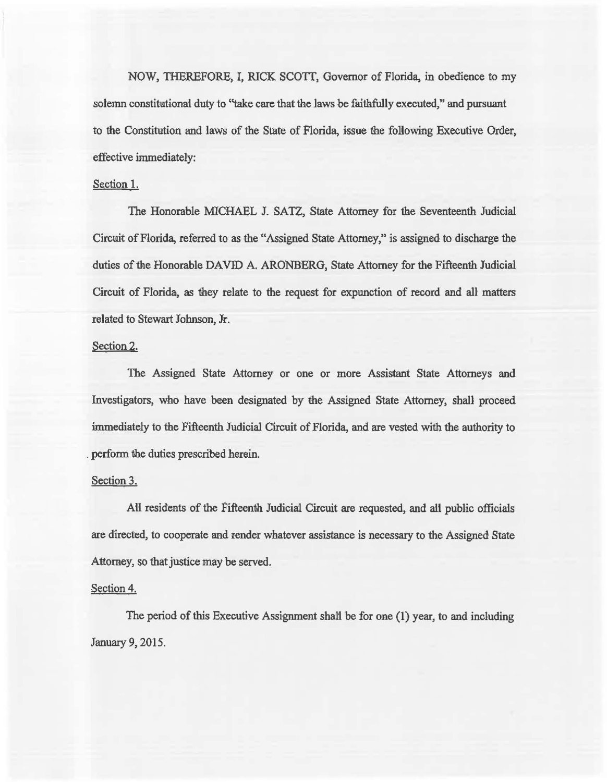NOW, THEREFORE, I, RICK SCOIT, Governor of Florida, in obedience to my solemn constitutional duty to "take care that the laws be faithfully executed," and pursuant to the Constitution and laws of the State of Florida, issue the following Executive Order, effective immediately:

### Section 1.

The Honorable MICHAEL J. SATZ, State Attorney for the Seventeenth Judicial Circuit of Florida, referred to as the "Assigned State Attorney," is assigned to discharge the duties of the Honorable DAVID A. ARONBERG, State Attorney for the Fifteenth Judicial Circuit of Florida, as they relate to the request for expunction of record and all matters related to Stewart Johnson, Jr.

# Section 2.

The Assigned State Attorney or one or more Assistant State Attorneys and Investigators, who have been designated by the Assigned State Attorney, shall proceed immediately to the Fifteenth Judicial Circuit of Florida, and are vested with the authority to . perform the duties prescribed herein.

#### Section 3.

All residents of the Fifteenth Judicial Circuit are requested, and aU public officials are directed, to cooperate and render whatever assistance is necessary to the Assigned State Attorney, so that justice may be served.

## Section 4.

The period of this Executive Assignment shali be for one (1) year, to and including January 9, 2015.